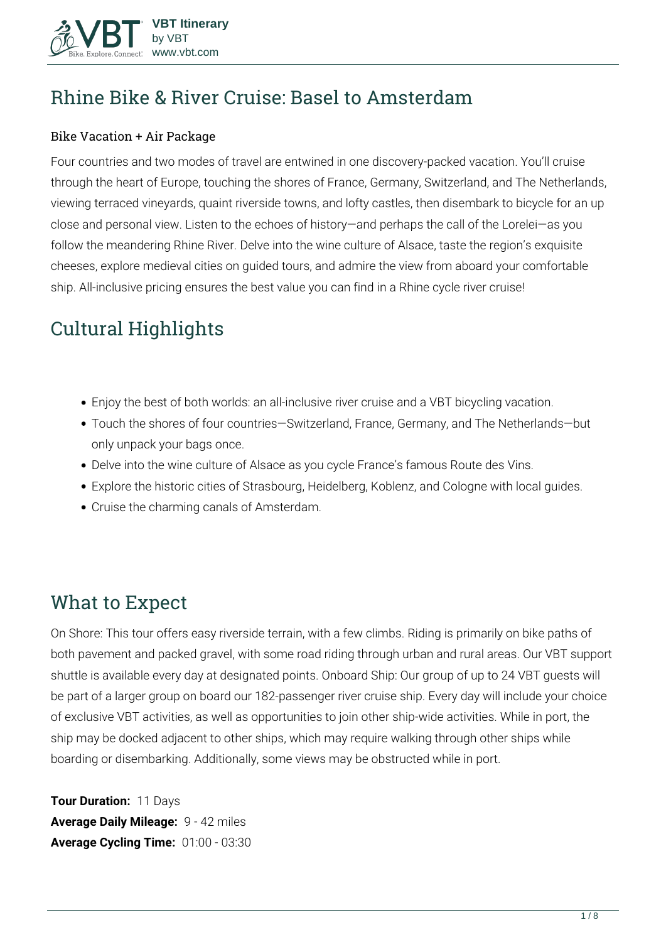

# **Rhine Bike & River Cruise: Basel to Amsterdam**

#### Bike Vacation + Air Package

Four countries and two modes of travel are entwined in one discovery-packed vacation. You'll cruise through the heart of Europe, touching the shores of France, Germany, Switzerland, and The Netherlands, viewing terraced vineyards, quaint riverside towns, and lofty castles, then disembark to bicycle for an up close and personal view. Listen to the echoes of history—and perhaps the call of the Lorelei—as you follow the meandering Rhine River. Delve into the wine culture of Alsace, taste the region's exquisite cheeses, explore medieval cities on guided tours, and admire the view from aboard your comfortable ship. All-inclusive pricing ensures the best value you can find in a Rhine cycle river cruise!

# **Cultural Highlights**

- Enjoy the best of both worlds: an all-inclusive river cruise and a VBT bicycling vacation.
- Touch the shores of four countries—Switzerland, France, Germany, and The Netherlands—but only unpack your bags once.
- Delve into the wine culture of Alsace as you cycle France's famous Route des Vins.
- Explore the historic cities of Strasbourg, Heidelberg, Koblenz, and Cologne with local guides.
- Cruise the charming canals of Amsterdam.

# **What to Expect**

On Shore: This tour offers easy riverside terrain, with a few climbs. Riding is primarily on bike paths of both pavement and packed gravel, with some road riding through urban and rural areas. Our VBT support shuttle is available every day at designated points. Onboard Ship: Our group of up to 24 VBT guests will be part of a larger group on board our 182-passenger river cruise ship. Every day will include your choice of exclusive VBT activities, as well as opportunities to join other ship-wide activities. While in port, the ship may be docked adjacent to other ships, which may require walking through other ships while boarding or disembarking. Additionally, some views may be obstructed while in port.

**Tour Duration:** 11 Days **Average Daily Mileage:** 9 - 42 miles **Average Cycling Time:** 01:00 - 03:30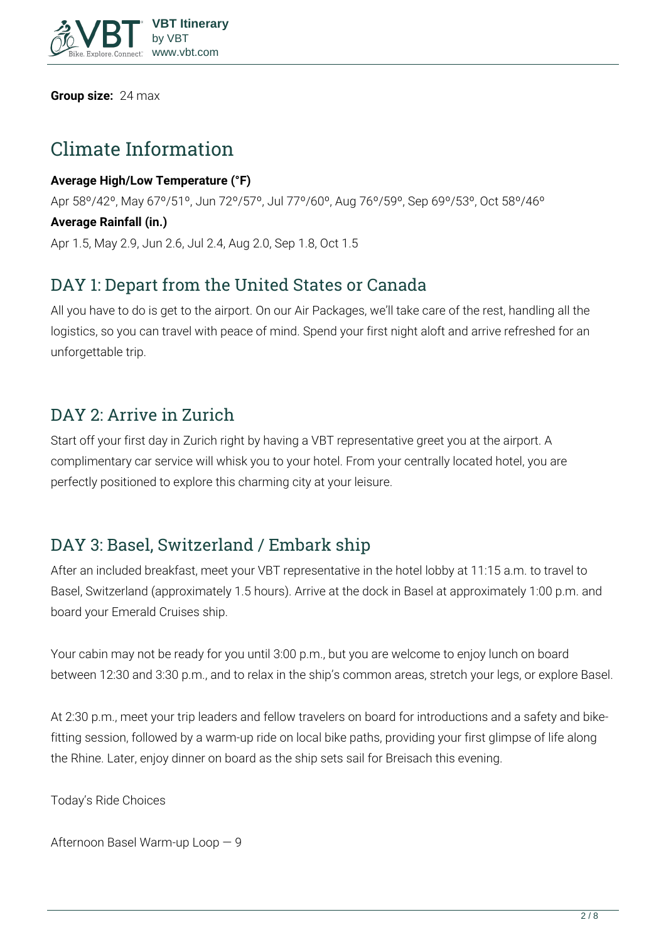

**Group size:** 24 max

# **Climate Information**

#### **Average High/Low Temperature (°F)**

Apr 58º/42º, May 67º/51º, Jun 72º/57º, Jul 77º/60º, Aug 76º/59º, Sep 69º/53º, Oct 58º/46º

#### **Average Rainfall (in.)**

Apr 1.5, May 2.9, Jun 2.6, Jul 2.4, Aug 2.0, Sep 1.8, Oct 1.5

## **DAY 1: Depart from the United States or Canada**

All you have to do is get to the airport. On our Air Packages, we'll take care of the rest, handling all the logistics, so you can travel with peace of mind. Spend your first night aloft and arrive refreshed for an unforgettable trip.

### **DAY 2: Arrive in Zurich**

Start off your first day in Zurich right by having a VBT representative greet you at the airport. A complimentary car service will whisk you to your hotel. From your centrally located hotel, you are perfectly positioned to explore this charming city at your leisure.

## **DAY 3: Basel, Switzerland / Embark ship**

After an included breakfast, meet your VBT representative in the hotel lobby at 11:15 a.m. to travel to Basel, Switzerland (approximately 1.5 hours). Arrive at the dock in Basel at approximately 1:00 p.m. and board your Emerald Cruises ship.

Your cabin may not be ready for you until 3:00 p.m., but you are welcome to enjoy lunch on board between 12:30 and 3:30 p.m., and to relax in the ship's common areas, stretch your legs, or explore Basel.

At 2:30 p.m., meet your trip leaders and fellow travelers on board for introductions and a safety and bikefitting session, followed by a warm-up ride on local bike paths, providing your first glimpse of life along the Rhine. Later, enjoy dinner on board as the ship sets sail for Breisach this evening.

**Today's Ride Choices**

**Afternoon** Basel Warm-up Loop — 9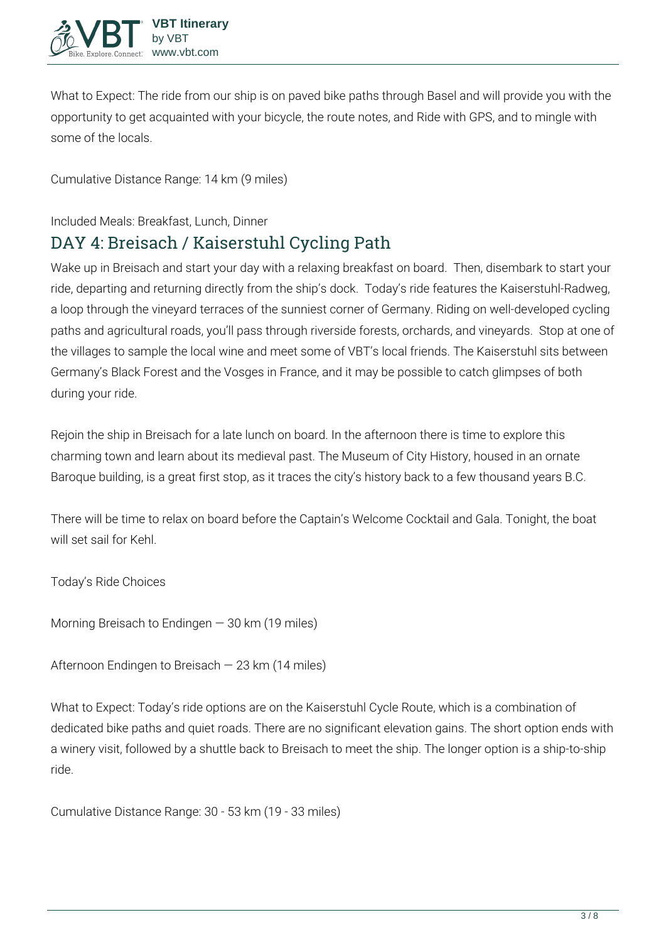**What to Expect:** The ride from our ship is on paved bike paths through Basel and will provide you with the opportunity to get acquainted with your bicycle, the route notes, and Ride with GPS, and to mingle with some of the locals.

**Cumulative Distance Range:** 14 km (9 miles)

**Included Meals:** Breakfast, Lunch, Dinner

## **DAY 4: Breisach / Kaiserstuhl Cycling Path**

Wake up in Breisach and start your day with a relaxing breakfast on board. Then, disembark to start your ride, departing and returning directly from the ship's dock. Today's ride features the Kaiserstuhl-Radweg, a loop through the vineyard terraces of the sunniest corner of Germany. Riding on well-developed cycling paths and agricultural roads, you'll pass through riverside forests, orchards, and vineyards. Stop at one of the villages to sample the local wine and meet some of VBT's local friends. The Kaiserstuhl sits between Germany's Black Forest and the Vosges in France, and it may be possible to catch glimpses of both during your ride.

Rejoin the ship in Breisach for a late lunch on board. In the afternoon there is time to explore this charming town and learn about its medieval past. The Museum of City History, housed in an ornate Baroque building, is a great first stop, as it traces the city's history back to a few thousand years B.C.

There will be time to relax on board before the Captain's Welcome Cocktail and Gala. Tonight, the boat will set sail for Kehl.

**Today's Ride Choices**

**Morning** Breisach to Endingen — 30 km (19 miles)

**Afternoon** Endingen to Breisach — 23 km (14 miles)

**What to Expect:** Today's ride options are on the Kaiserstuhl Cycle Route, which is a combination of dedicated bike paths and quiet roads. There are no significant elevation gains. The short option ends with a winery visit, followed by a shuttle back to Breisach to meet the ship. The longer option is a ship-to-ship ride.

**Cumulative Distance Range:** 30 - 53 km (19 - 33 miles)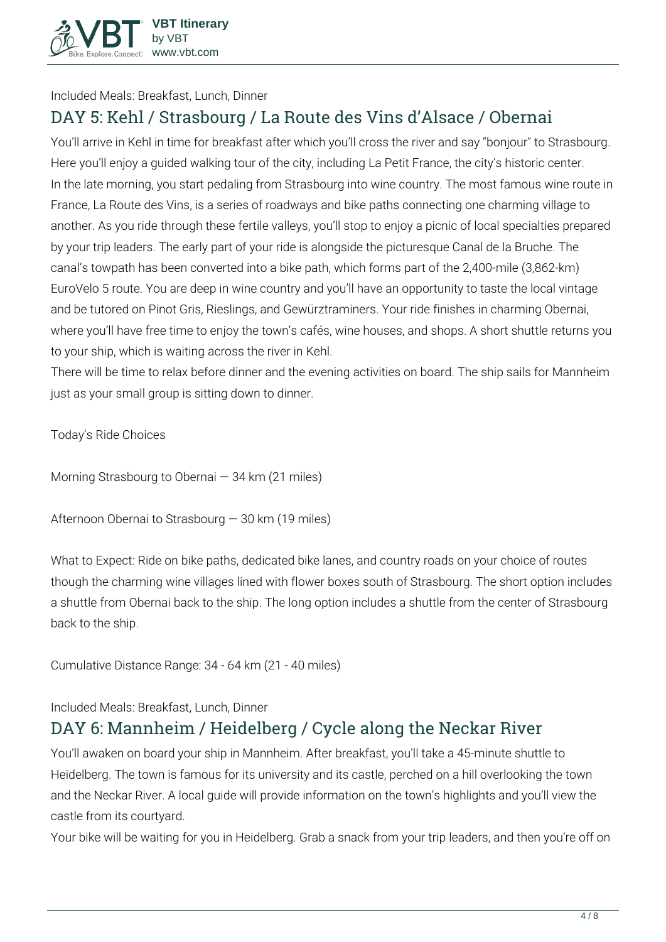

**Included Meals:** Breakfast, Lunch, Dinner

## **DAY 5: Kehl / Strasbourg / La Route des Vins d'Alsace / Obernai**

You'll arrive in Kehl in time for breakfast after which you'll cross the river and say "bonjour" to Strasbourg. Here you'll enjoy a guided walking tour of the city, including La Petit France, the city's historic center. In the late morning, you start pedaling from Strasbourg into wine country. The most famous wine route in France, La Route des Vins, is a series of roadways and bike paths connecting one charming village to another. As you ride through these fertile valleys, you'll stop to enjoy a picnic of local specialties prepared by your trip leaders. The early part of your ride is alongside the picturesque Canal de la Bruche. The canal's towpath has been converted into a bike path, which forms part of the 2,400-mile (3,862-km) EuroVelo 5 route. You are deep in wine country and you'll have an opportunity to taste the local vintage and be tutored on Pinot Gris, Rieslings, and Gewürztraminers. Your ride finishes in charming Obernai, where you'll have free time to enjoy the town's cafés, wine houses, and shops. A short shuttle returns you to your ship, which is waiting across the river in Kehl.

There will be time to relax before dinner and the evening activities on board. The ship sails for Mannheim just as your small group is sitting down to dinner.

**Today's Ride Choices**

**Morning** Strasbourg to Obernai — 34 km (21 miles)

**Afternoon** Obernai to Strasbourg — 30 km (19 miles)

**What to Expect:** Ride on bike paths, dedicated bike lanes, and country roads on your choice of routes though the charming wine villages lined with flower boxes south of Strasbourg. The short option includes a shuttle from Obernai back to the ship. The long option includes a shuttle from the center of Strasbourg back to the ship.

**Cumulative Distance Range:** 34 - 64 km (21 - 40 miles)

#### **Included Meals:** Breakfast, Lunch, Dinner

### **DAY 6: Mannheim / Heidelberg / Cycle along the Neckar River**

You'll awaken on board your ship in Mannheim. After breakfast, you'll take a 45-minute shuttle to Heidelberg. The town is famous for its university and its castle, perched on a hill overlooking the town and the Neckar River. A local guide will provide information on the town's highlights and you'll view the castle from its courtyard.

Your bike will be waiting for you in Heidelberg. Grab a snack from your trip leaders, and then you're off on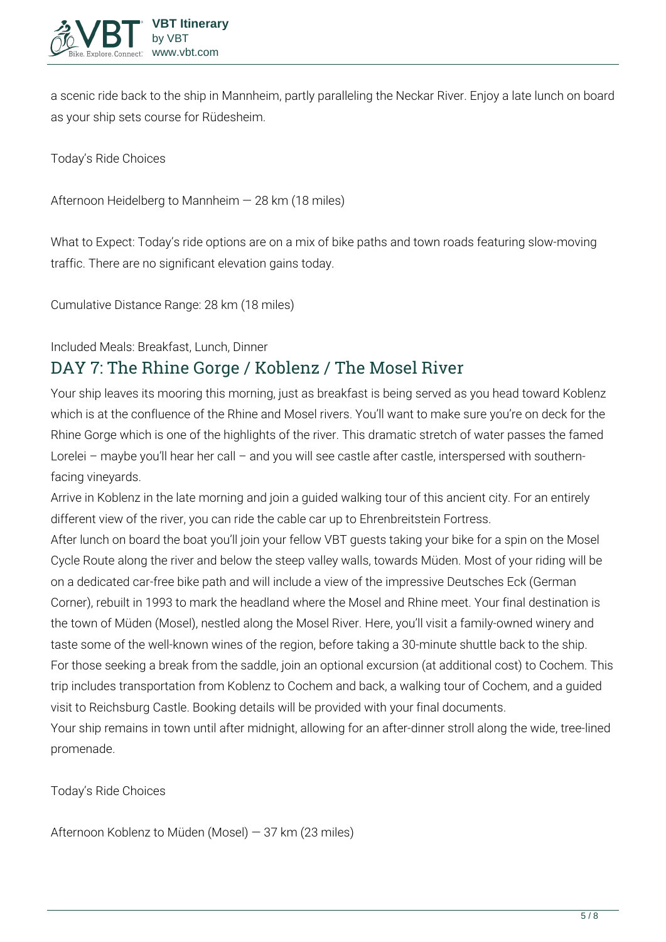

a scenic ride back to the ship in Mannheim, partly paralleling the Neckar River. Enjoy a late lunch on board as your ship sets course for Rüdesheim.

**Today's Ride Choices**

**Afternoon** Heidelberg to Mannheim — 28 km (18 miles)

**What to Expect:** Today's ride options are on a mix of bike paths and town roads featuring slow-moving traffic. There are no significant elevation gains today.

**Cumulative Distance Range:** 28 km (18 miles)

#### **Included Meals:** Breakfast, Lunch, Dinner

### **DAY 7: The Rhine Gorge / Koblenz / The Mosel River**

Your ship leaves its mooring this morning, just as breakfast is being served as you head toward Koblenz which is at the confluence of the Rhine and Mosel rivers. You'll want to make sure you're on deck for the Rhine Gorge which is one of the highlights of the river. This dramatic stretch of water passes the famed Lorelei – maybe you'll hear her call – and you will see castle after castle, interspersed with southernfacing vineyards.

Arrive in Koblenz in the late morning and join a guided walking tour of this ancient city. For an entirely different view of the river, you can ride the cable car up to Ehrenbreitstein Fortress.

After lunch on board the boat you'll join your fellow VBT guests taking your bike for a spin on the Mosel Cycle Route along the river and below the steep valley walls, towards Müden. Most of your riding will be on a dedicated car-free bike path and will include a view of the impressive Deutsches Eck (German Corner), rebuilt in 1993 to mark the headland where the Mosel and Rhine meet. Your final destination is the town of Müden (Mosel), nestled along the Mosel River. Here, you'll visit a family-owned winery and taste some of the well-known wines of the region, before taking a 30-minute shuttle back to the ship. For those seeking a break from the saddle, join an optional excursion (at additional cost) to Cochem. This trip includes transportation from Koblenz to Cochem and back, a walking tour of Cochem, and a guided visit to Reichsburg Castle. Booking details will be provided with your final documents.

Your ship remains in town until after midnight, allowing for an after-dinner stroll along the wide, tree-lined promenade.

**Today's Ride Choices**

**Afternoon** Koblenz to Müden (Mosel) — 37 km (23 miles)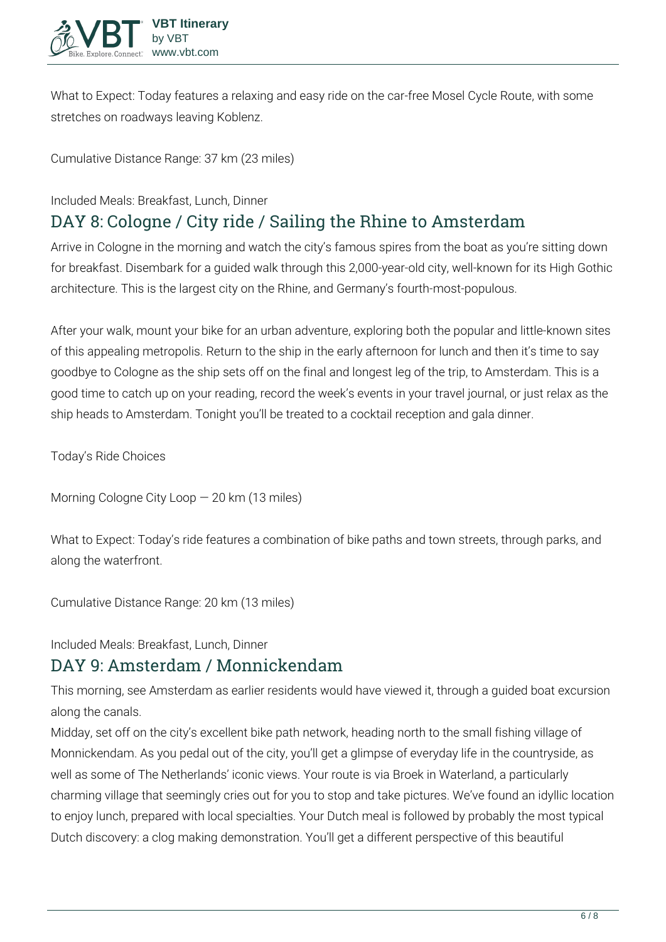

**What to Expect:** Today features a relaxing and easy ride on the car-free Mosel Cycle Route, with some stretches on roadways leaving Koblenz.

**Cumulative Distance Range:** 37 km (23 miles)

#### **Included Meals:** Breakfast, Lunch, Dinner

## **DAY 8: Cologne / City ride / Sailing the Rhine to Amsterdam**

Arrive in Cologne in the morning and watch the city's famous spires from the boat as you're sitting down for breakfast. Disembark for a quided walk through this 2,000-year-old city, well-known for its High Gothic architecture. This is the largest city on the Rhine, and Germany's fourth-most-populous.

After your walk, mount your bike for an urban adventure, exploring both the popular and little-known sites of this appealing metropolis. Return to the ship in the early afternoon for lunch and then it's time to say goodbye to Cologne as the ship sets off on the final and longest leg of the trip, to Amsterdam. This is a good time to catch up on your reading, record the week's events in your travel journal, or just relax as the ship heads to Amsterdam. Tonight you'll be treated to a cocktail reception and gala dinner.

**Today's Ride Choices**

**Morning** Cologne City Loop — 20 km (13 miles)

**What to Expect:** Today's ride features a combination of bike paths and town streets, through parks, and along the waterfront.

**Cumulative Distance Range:** 20 km (13 miles)

**Included Meals:** Breakfast, Lunch, Dinner

### **DAY 9: Amsterdam / Monnickendam**

This morning, see Amsterdam as earlier residents would have viewed it, through a guided boat excursion along the canals.

Midday, set off on the city's excellent bike path network, heading north to the small fishing village of Monnickendam. As you pedal out of the city, you'll get a glimpse of everyday life in the countryside, as well as some of The Netherlands' iconic views. Your route is via Broek in Waterland, a particularly charming village that seemingly cries out for you to stop and take pictures. We've found an idyllic location to enjoy lunch, prepared with local specialties. Your Dutch meal is followed by probably the most typical Dutch discovery: a clog making demonstration. You'll get a different perspective of this beautiful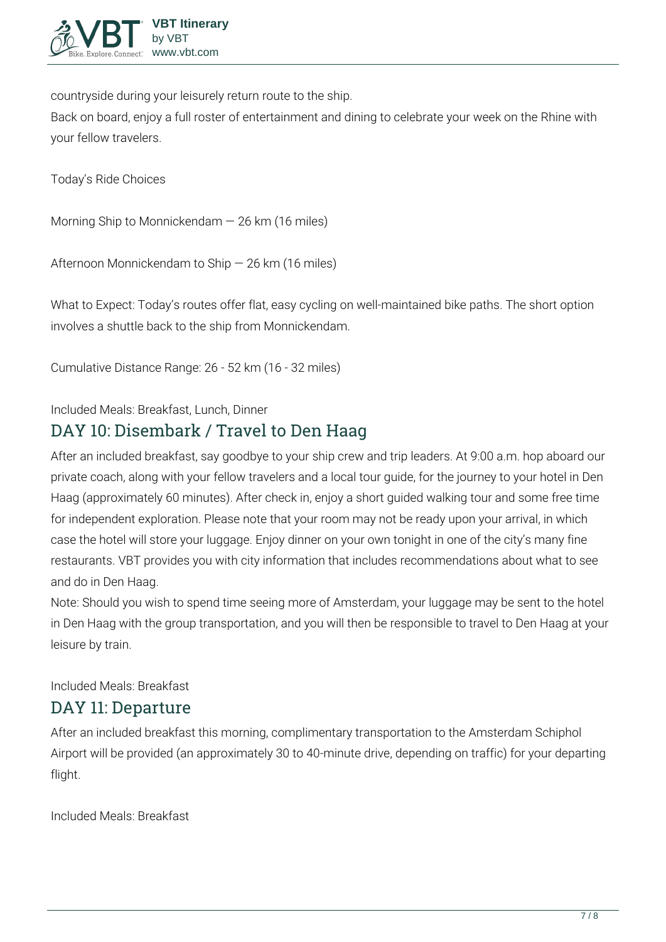

countryside during your leisurely return route to the ship.

Back on board, enjoy a full roster of entertainment and dining to celebrate your week on the Rhine with your fellow travelers.

**Today's Ride Choices**

**Morning** Ship to Monnickendam — 26 km (16 miles)

**Afternoon** Monnickendam to Ship — 26 km (16 miles)

**What to Expect:** Today's routes offer flat, easy cycling on well-maintained bike paths. The short option involves a shuttle back to the ship from Monnickendam.

**Cumulative Distance Range:** 26 - 52 km (16 - 32 miles)

**Included Meals:** Breakfast, Lunch, Dinner

#### **DAY 10: Disembark / Travel to Den Haag**

After an included breakfast, say goodbye to your ship crew and trip leaders. At 9:00 a.m. hop aboard our private coach, along with your fellow travelers and a local tour guide, for the journey to your hotel in Den Haag (approximately 60 minutes). After check in, enjoy a short guided walking tour and some free time for independent exploration. Please note that your room may not be ready upon your arrival, in which case the hotel will store your luggage. Enjoy dinner on your own tonight in one of the city's many fine restaurants. VBT provides you with city information that includes recommendations about what to see and do in Den Haag.

Note: Should you wish to spend time seeing more of Amsterdam, your luggage may be sent to the hotel in Den Haag with the group transportation, and you will then be responsible to travel to Den Haag at your leisure by train.

**Included Meals:** Breakfast

#### **DAY 11: Departure**

After an included breakfast this morning, complimentary transportation to the Amsterdam Schiphol Airport will be provided (an approximately 30 to 40-minute drive, depending on traffic) for your departing flight.

**Included Meals:** Breakfast